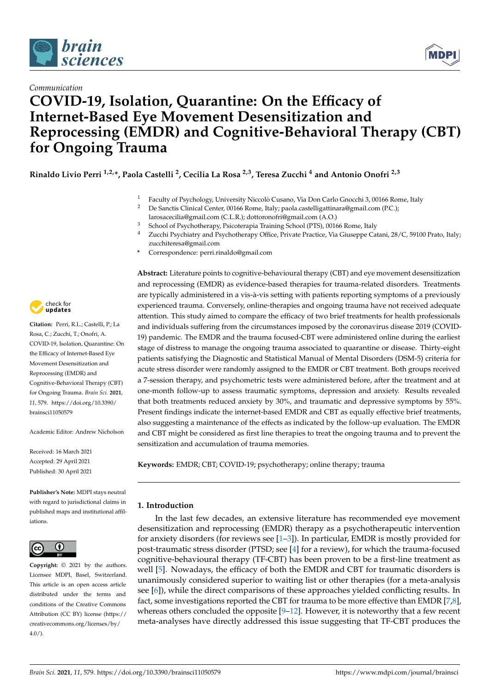



# *Communication* **COVID-19, Isolation, Quarantine: On the Efficacy of Internet-Based Eye Movement Desensitization and Reprocessing (EMDR) and Cognitive-Behavioral Therapy (CBT) for Ongoing Trauma**

**Rinaldo Livio Perri 1,2,\*, Paola Castelli <sup>2</sup> , Cecilia La Rosa 2,3, Teresa Zucchi <sup>4</sup> and Antonio Onofri 2,3**

- <sup>1</sup> Faculty of Psychology, University Niccolò Cusano, Via Don Carlo Gnocchi 3, 00166 Rome, Italy<br><sup>2</sup> De Sanctic Clinical Conter 00166 Rome, Italy: paela castelligattinara@email.com (PC):
- <sup>2</sup> De Sanctis Clinical Center, 00166 Rome, Italy; paola.castelligattinara@gmail.com (P.C.);
- larosacecilia@gmail.com (C.L.R.); dottoronofri@gmail.com (A.O.)
- <sup>3</sup> School of Psychotherapy, Psicoterapia Training School (PTS), 00166 Rome, Italy<br><sup>4</sup> Zuschi Bayshistwy and Bayshotherapy, Office, Drivate Prestice, Vie Giusenne Cos
- Zucchi Psychiatry and Psychotherapy Office, Private Practice, Via Giuseppe Catani, 28/C, 59100 Prato, Italy; zucchiteresa@gmail.com
- **\*** Correspondence: perri.rinaldo@gmail.com

check for **-**

**Citation:** Perri, R.L.; Castelli, P.; La Rosa, C.; Zucchi, T.; Onofri, A. COVID-19, Isolation, Quarantine: On the Efficacy of Internet-Based Eye Movement Desensitization and Reprocessing (EMDR) and Cognitive-Behavioral Therapy (CBT) for Ongoing Trauma. *Brain Sci.* **2021**, *11*, 579. [https://doi.org/10.3390/](https://doi.org/10.3390/brainsci11050579) [brainsci11050579](https://doi.org/10.3390/brainsci11050579)

Academic Editor: Andrew Nicholson

Received: 16 March 2021 Accepted: 29 April 2021 Published: 30 April 2021

**Publisher's Note:** MDPI stays neutral with regard to jurisdictional claims in published maps and institutional affiliations.



**Copyright:** © 2021 by the authors. Licensee MDPI, Basel, Switzerland. This article is an open access article distributed under the terms and conditions of the Creative Commons Attribution (CC BY) license (https:/[/](https://creativecommons.org/licenses/by/4.0/) [creativecommons.org/licenses/by/](https://creativecommons.org/licenses/by/4.0/)  $4.0/$ ).

**Abstract:** Literature points to cognitive-behavioural therapy (CBT) and eye movement desensitization and reprocessing (EMDR) as evidence-based therapies for trauma-related disorders. Treatments are typically administered in a vis-à-vis setting with patients reporting symptoms of a previously experienced trauma. Conversely, online-therapies and ongoing trauma have not received adequate attention. This study aimed to compare the efficacy of two brief treatments for health professionals and individuals suffering from the circumstances imposed by the coronavirus disease 2019 (COVID-19) pandemic. The EMDR and the trauma focused-CBT were administered online during the earliest stage of distress to manage the ongoing trauma associated to quarantine or disease. Thirty-eight patients satisfying the Diagnostic and Statistical Manual of Mental Disorders (DSM-5) criteria for acute stress disorder were randomly assigned to the EMDR or CBT treatment. Both groups received a 7-session therapy, and psychometric tests were administered before, after the treatment and at one-month follow-up to assess traumatic symptoms, depression and anxiety. Results revealed that both treatments reduced anxiety by 30%, and traumatic and depressive symptoms by 55%. Present findings indicate the internet-based EMDR and CBT as equally effective brief treatments, also suggesting a maintenance of the effects as indicated by the follow-up evaluation. The EMDR and CBT might be considered as first line therapies to treat the ongoing trauma and to prevent the sensitization and accumulation of trauma memories.

**Keywords:** EMDR; CBT; COVID-19; psychotherapy; online therapy; trauma

## **1. Introduction**

In the last few decades, an extensive literature has recommended eye movement desensitization and reprocessing (EMDR) therapy as a psychotherapeutic intervention for anxiety disorders (for reviews see [\[1](#page-5-0)[–3\]](#page-5-1)). In particular, EMDR is mostly provided for post-traumatic stress disorder (PTSD; see [\[4\]](#page-6-0) for a review), for which the trauma-focused cognitive-behavioural therapy (TF-CBT) has been proven to be a first-line treatment as well [\[5\]](#page-6-1). Nowadays, the efficacy of both the EMDR and CBT for traumatic disorders is unanimously considered superior to waiting list or other therapies (for a meta-analysis see [\[6\]](#page-6-2)), while the direct comparisons of these approaches yielded conflicting results. In fact, some investigations reported the CBT for trauma to be more effective than EMDR [\[7](#page-6-3)[,8\]](#page-6-4), whereas others concluded the opposite  $[9-12]$  $[9-12]$ . However, it is noteworthy that a few recent meta-analyses have directly addressed this issue suggesting that TF-CBT produces the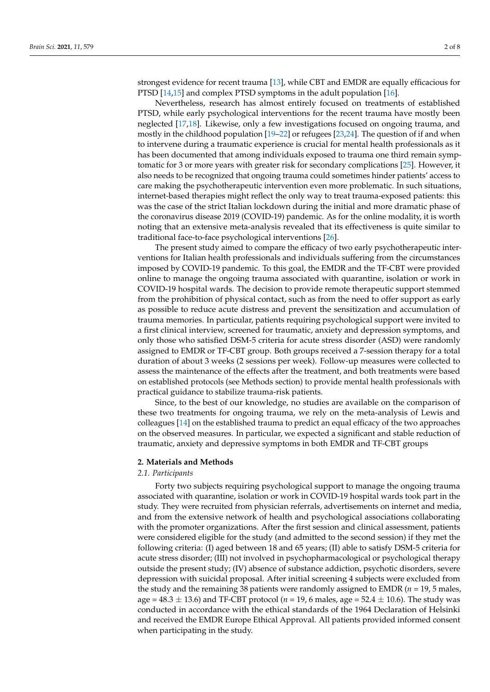strongest evidence for recent trauma [\[13\]](#page-6-7), while CBT and EMDR are equally efficacious for PTSD [\[14,](#page-6-8)[15\]](#page-6-9) and complex PTSD symptoms in the adult population [\[16\]](#page-6-10).

Nevertheless, research has almost entirely focused on treatments of established PTSD, while early psychological interventions for the recent trauma have mostly been neglected [\[17,](#page-6-11)[18\]](#page-6-12). Likewise, only a few investigations focused on ongoing trauma, and mostly in the childhood population [\[19–](#page-6-13)[22\]](#page-6-14) or refugees [\[23,](#page-6-15)[24\]](#page-6-16). The question of if and when to intervene during a traumatic experience is crucial for mental health professionals as it has been documented that among individuals exposed to trauma one third remain symptomatic for 3 or more years with greater risk for secondary complications [\[25\]](#page-6-17). However, it also needs to be recognized that ongoing trauma could sometimes hinder patients' access to care making the psychotherapeutic intervention even more problematic. In such situations, internet-based therapies might reflect the only way to treat trauma-exposed patients: this was the case of the strict Italian lockdown during the initial and more dramatic phase of the coronavirus disease 2019 (COVID-19) pandemic. As for the online modality, it is worth noting that an extensive meta-analysis revealed that its effectiveness is quite similar to traditional face-to-face psychological interventions [\[26\]](#page-6-18).

The present study aimed to compare the efficacy of two early psychotherapeutic interventions for Italian health professionals and individuals suffering from the circumstances imposed by COVID-19 pandemic. To this goal, the EMDR and the TF-CBT were provided online to manage the ongoing trauma associated with quarantine, isolation or work in COVID-19 hospital wards. The decision to provide remote therapeutic support stemmed from the prohibition of physical contact, such as from the need to offer support as early as possible to reduce acute distress and prevent the sensitization and accumulation of trauma memories. In particular, patients requiring psychological support were invited to a first clinical interview, screened for traumatic, anxiety and depression symptoms, and only those who satisfied DSM-5 criteria for acute stress disorder (ASD) were randomly assigned to EMDR or TF-CBT group. Both groups received a 7-session therapy for a total duration of about 3 weeks (2 sessions per week). Follow-up measures were collected to assess the maintenance of the effects after the treatment, and both treatments were based on established protocols (see Methods section) to provide mental health professionals with practical guidance to stabilize trauma-risk patients.

Since, to the best of our knowledge, no studies are available on the comparison of these two treatments for ongoing trauma, we rely on the meta-analysis of Lewis and colleagues [\[14\]](#page-6-8) on the established trauma to predict an equal efficacy of the two approaches on the observed measures. In particular, we expected a significant and stable reduction of traumatic, anxiety and depressive symptoms in both EMDR and TF-CBT groups

## **2. Materials and Methods**

## *2.1. Participants*

Forty two subjects requiring psychological support to manage the ongoing trauma associated with quarantine, isolation or work in COVID-19 hospital wards took part in the study. They were recruited from physician referrals, advertisements on internet and media, and from the extensive network of health and psychological associations collaborating with the promoter organizations. After the first session and clinical assessment, patients were considered eligible for the study (and admitted to the second session) if they met the following criteria: (I) aged between 18 and 65 years; (II) able to satisfy DSM-5 criteria for acute stress disorder; (III) not involved in psychopharmacological or psychological therapy outside the present study; (IV) absence of substance addiction, psychotic disorders, severe depression with suicidal proposal. After initial screening 4 subjects were excluded from the study and the remaining 38 patients were randomly assigned to EMDR (*n* = 19, 5 males, age =  $48.3 \pm 13.6$ ) and TF-CBT protocol ( $n = 19$ , 6 males, age =  $52.4 \pm 10.6$ ). The study was conducted in accordance with the ethical standards of the 1964 Declaration of Helsinki and received the EMDR Europe Ethical Approval. All patients provided informed consent when participating in the study.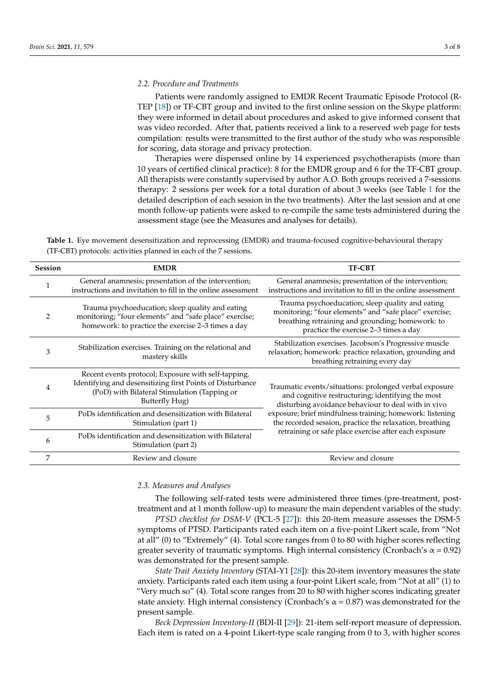Patients were randomly assigned to EMDR Recent Traumatic Episode Protocol (R-TEP [\[18\]](#page-6-12)) or TF-CBT group and invited to the first online session on the Skype platform: they were informed in detail about procedures and asked to give informed consent that was video recorded. After that, patients received a link to a reserved web page for tests compilation: results were transmitted to the first author of the study who was responsible for scoring, data storage and privacy protection.

Therapies were dispensed online by 14 experienced psychotherapists (more than 10 years of certified clinical practice): 8 for the EMDR group and 6 for the TF-CBT group. All therapists were constantly supervised by author A.O. Both groups received a 7-sessions therapy: 2 sessions per week for a total duration of about 3 weeks (see Table [1](#page-2-0) for the detailed description of each session in the two treatments). After the last session and at one month follow-up patients were asked to re-compile the same tests administered during the assessment stage (see the Measures and analyses for details).

<span id="page-2-0"></span>**Table 1.** Eye movement desensitization and reprocessing (EMDR) and trauma-focused cognitive-behavioural therapy (TF-CBT) protocols: activities planned in each of the 7 sessions.

| <b>Session</b> | <b>EMDR</b>                                                                                                                                                                        | <b>TF-CBT</b>                                                                                                                                                                                                                                                                                                                                        |  |  |
|----------------|------------------------------------------------------------------------------------------------------------------------------------------------------------------------------------|------------------------------------------------------------------------------------------------------------------------------------------------------------------------------------------------------------------------------------------------------------------------------------------------------------------------------------------------------|--|--|
| 1              | General anamnesis; presentation of the intervention;<br>instructions and invitation to fill in the online assessment                                                               | General anamnesis; presentation of the intervention;<br>instructions and invitation to fill in the online assessment                                                                                                                                                                                                                                 |  |  |
| $\overline{2}$ | Trauma psychoeducation; sleep quality and eating<br>monitoring; "four elements" and "safe place" exercise;<br>homework: to practice the exercise 2-3 times a day                   | Trauma psychoeducation; sleep quality and eating<br>monitoring; "four elements" and "safe place" exercise;<br>breathing retraining and grounding; homework: to<br>practice the exercise 2-3 times a day                                                                                                                                              |  |  |
| 3              | Stabilization exercises. Training on the relational and<br>mastery skills                                                                                                          | Stabilization exercises. Jacobson's Progressive muscle<br>relaxation; homework: practice relaxation, grounding and<br>breathing retraining every day                                                                                                                                                                                                 |  |  |
| 4              | Recent events protocol; Exposure with self-tapping.<br>Identifying and desensitizing first Points of Disturbance<br>(PoD) with Bilateral Stimulation (Tapping or<br>Butterfly Hug) | Traumatic events/situations: prolonged verbal exposure<br>and cognitive restructuring; identifying the most<br>disturbing avoidance behaviour to deal with in vivo<br>exposure; brief mindfulness training; homework: listening<br>the recorded session, practice the relaxation, breathing<br>retraining or safe place exercise after each exposure |  |  |
| 5              | PoDs identification and desensitization with Bilateral<br>Stimulation (part 1)                                                                                                     |                                                                                                                                                                                                                                                                                                                                                      |  |  |
| 6              | PoDs identification and desensitization with Bilateral<br>Stimulation (part 2)                                                                                                     |                                                                                                                                                                                                                                                                                                                                                      |  |  |
| 7              | Review and closure                                                                                                                                                                 | Review and closure                                                                                                                                                                                                                                                                                                                                   |  |  |

#### *2.3. Measures and Analyses*

The following self-rated tests were administered three times (pre-treatment, posttreatment and at 1 month follow-up) to measure the main dependent variables of the study:

*PTSD checklist for DSM-V* (PCL-5 [\[27\]](#page-6-19)): this 20-item measure assesses the DSM-5 symptoms of PTSD. Participants rated each item on a five-point Likert scale, from "Not at all" (0) to "Extremely" (4). Total score ranges from 0 to 80 with higher scores reflecting greater severity of traumatic symptoms. High internal consistency (Cronbach's  $\alpha$  = 0.92) was demonstrated for the present sample.

*State Trait Anxiety Inventory* (STAI-Y1 [\[28\]](#page-6-20)): this 20-item inventory measures the state anxiety. Participants rated each item using a four-point Likert scale, from "Not at all" (1) to "Very much so" (4). Total score ranges from 20 to 80 with higher scores indicating greater state anxiety. High internal consistency (Cronbach's  $\alpha$  = 0.87) was demonstrated for the present sample.

*Beck Depression Inventory-II* (BDI-II [\[29\]](#page-6-21)): 21-item self-report measure of depression. Each item is rated on a 4-point Likert-type scale ranging from 0 to 3, with higher scores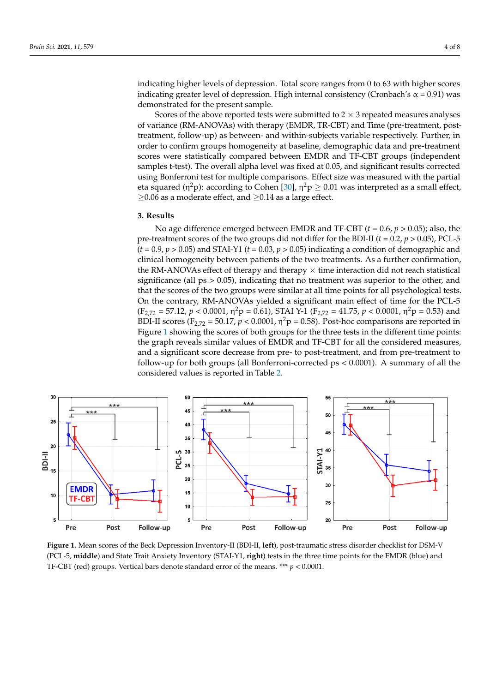*Beck Depression Inventory-II* (BDI-II [29]): 21-item self-report measure of depression.

Scores of the above reported tests were submitted to  $2 \times 3$  repeated measures analyses of variance (RM-ANOVAs) with therapy (EMDR, TR-CBT) and Time (pre-treatment, post-of variance (RM-ANOVAs) with therapy (EMDR, TR-CBT) and Time (pre-treatment, posttreatment, follow-up) as between- and within-subjects variable respectively. Further, in treatment, follow-up) as between- and within-subjects variable respectively. Further, in order to confirm groups homogeneity at baseline, demographic data and pre-treatment order to confirm groups homogeneity at baseline, demographic data and pre-treatment scores were statistically compared between EMDR and TF-CBT groups (independent scores were statistically compared between EMDR and TF-CBT groups (independent samples t-test). The overall alpha level was fixed at 0.05, and significant results corrected samples t-test). The overall alpha level was fixed at 0.05, and significant results corrected using Bonferroni test for multiple comparisons. Effect size was measured with the partial using Bonferroni test for multiple comparisons. Effect size was measured with the partial eta squared (η<sup>2</sup>p): according to Cohen [\[30\]](#page-6-22), η<sup>2</sup>p  $\geq$  0.01 was interpreted as a small effect, ≥0.06 as a moderate effect, and ≥0.14 as a large effect. ≥0.06 as a moderate effect, and ≥0.14 as a large effect.

## **3. Results 3. Results**

No age difference emerged between EMDR and TF-CBT (*t* = 0.6, *p* > 0.05); also, the No age difference emerged between EMDR and TF-CBT (*t* = 0.6, *p* > 0.05); also, the pre-treatment scores of the two groups did not differ for the BDI-II (*t* = 0.2, *p* > 0.05), PCL-5 pre-treatment scores of the two groups did not differ for the BDI-II (*t* = 0.2, *p* > 0.05), PCL- $(t = 0.9, p > 0.05)$  and STAI-Y1 ( $t = 0.03, p > 0.05$ ) indicating a condition of demographic and clinical homogeneity between patients of the two treatments. As a further confirmation, the RM-ANOVAs effect of therapy and therapy  $\times$  time interaction did not reach statistical significance (all ps > 0.05), indicating that no treatment was superior to the other, and that the scores of the two groups were similar at all time points for all psychological tests.<br>  $Q_{\text{tot}}(t) = Q_{\text{tot}}(t)$ On the contrary, RM-ANOVAs yielded a significant main effect of time for the PCL-5 The contrary, RM-ANOVAS yielded a significant main effect of time for the PCL-3<br>(F<sub>2,72</sub> = 57.12, *p* < 0.0001,  $\eta^2 p$  = 0.61), STAI Y-1 (F<sub>2,72</sub> = 41.75, *p* < 0.0001,  $\eta^2 p$  = 0.53) and  $(12/2 = 37.12, p \le 0.0001, \eta^2$   $p = 0.01$ ,  $\frac{1}{2}$   $\eta = 0.58$ ). Post-hoc comparisons are reported in Figure [1](#page-3-0) showing the scores of both groups for the three tests in the different time points: 1 showing the scores of both groups for the three tests in the different time points: the graph reveals similar values of EMDR and TF-CBT for all the considered measures, and a significant score decrease from pre- to post-treatment, and from pre-treatment to follow-up for both groups (all Bonferroni-corrected ps  $< 0.0001$ ). A summary of all the reported values is reported in Table [2.](#page-4-0)

<span id="page-3-0"></span>

**Figure 1.** Mean scores of the Beck Depression Inventory-II (BDI-II, **left**), post-traumatic stress disorder checklist for DSM-V (PCL-5, **middle**) and State Trait Anxiety Inventory (STAI-Y1, **right**) tests in the three time points for the EMDR (blue) and TF-CBT (red) groups. Vertical bars denote standard error of the means. \*\*\* *p* < 0.0001.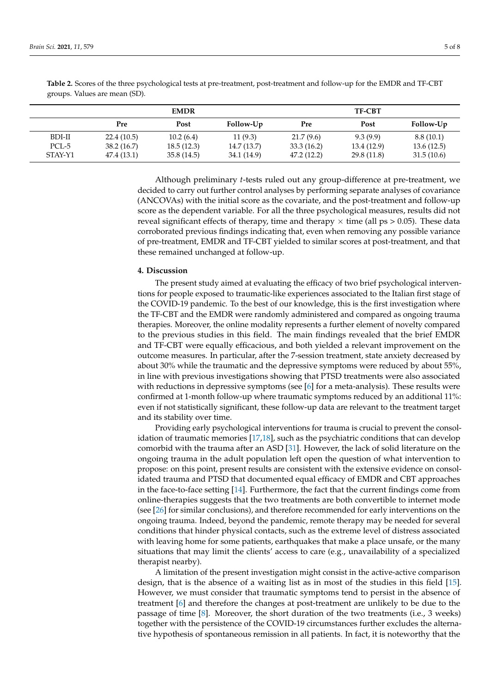|         |             | <b>EMDR</b> |             |            | <b>TF-CBT</b> |            |
|---------|-------------|-------------|-------------|------------|---------------|------------|
|         | Pre         | Post        | Follow-Up   | Pre        | Post          | Follow-Up  |
| BDI-II  | 22.4(10.5)  | 10.2(6.4)   | 11(9.3)     | 21.7(9.6)  | 9.3(9.9)      | 8.8(10.1)  |
| PCL-5   | 38.2(16.7)  | 18.5(12.3)  | 14.7(13.7)  | 33.3(16.2) | 13.4 (12.9)   | 13.6(12.5) |
| STAY-Y1 | 47.4 (13.1) | 35.8(14.5)  | 34.1 (14.9) | 47.2(12.2) | 29.8 (11.8)   | 31.5(10.6) |

<span id="page-4-0"></span>**Table 2.** Scores of the three psychological tests at pre-treatment, post-treatment and follow-up for the EMDR and TF-CBT groups. Values are mean (SD).

> Although preliminary *t*-tests ruled out any group-difference at pre-treatment, we decided to carry out further control analyses by performing separate analyses of covariance (ANCOVAs) with the initial score as the covariate, and the post-treatment and follow-up score as the dependent variable. For all the three psychological measures, results did not reveal significant effects of therapy, time and therapy  $\times$  time (all ps  $> 0.05$ ). These data corroborated previous findings indicating that, even when removing any possible variance of pre-treatment, EMDR and TF-CBT yielded to similar scores at post-treatment, and that these remained unchanged at follow-up.

#### **4. Discussion**

The present study aimed at evaluating the efficacy of two brief psychological interventions for people exposed to traumatic-like experiences associated to the Italian first stage of the COVID-19 pandemic. To the best of our knowledge, this is the first investigation where the TF-CBT and the EMDR were randomly administered and compared as ongoing trauma therapies. Moreover, the online modality represents a further element of novelty compared to the previous studies in this field. The main findings revealed that the brief EMDR and TF-CBT were equally efficacious, and both yielded a relevant improvement on the outcome measures. In particular, after the 7-session treatment, state anxiety decreased by about 30% while the traumatic and the depressive symptoms were reduced by about 55%, in line with previous investigations showing that PTSD treatments were also associated with reductions in depressive symptoms (see  $[6]$  for a meta-analysis). These results were confirmed at 1-month follow-up where traumatic symptoms reduced by an additional 11%: even if not statistically significant, these follow-up data are relevant to the treatment target and its stability over time.

Providing early psychological interventions for trauma is crucial to prevent the consolidation of traumatic memories [\[17,](#page-6-11)[18\]](#page-6-12), such as the psychiatric conditions that can develop comorbid with the trauma after an ASD [\[31\]](#page-6-23). However, the lack of solid literature on the ongoing trauma in the adult population left open the question of what intervention to propose: on this point, present results are consistent with the extensive evidence on consolidated trauma and PTSD that documented equal efficacy of EMDR and CBT approaches in the face-to-face setting [\[14\]](#page-6-8). Furthermore, the fact that the current findings come from online-therapies suggests that the two treatments are both convertible to internet mode (see [\[26\]](#page-6-18) for similar conclusions), and therefore recommended for early interventions on the ongoing trauma. Indeed, beyond the pandemic, remote therapy may be needed for several conditions that hinder physical contacts, such as the extreme level of distress associated with leaving home for some patients, earthquakes that make a place unsafe, or the many situations that may limit the clients' access to care (e.g., unavailability of a specialized therapist nearby).

A limitation of the present investigation might consist in the active-active comparison design, that is the absence of a waiting list as in most of the studies in this field [\[15\]](#page-6-9). However, we must consider that traumatic symptoms tend to persist in the absence of treatment [\[6\]](#page-6-2) and therefore the changes at post-treatment are unlikely to be due to the passage of time [\[8\]](#page-6-4). Moreover, the short duration of the two treatments (i.e., 3 weeks) together with the persistence of the COVID-19 circumstances further excludes the alternative hypothesis of spontaneous remission in all patients. In fact, it is noteworthy that the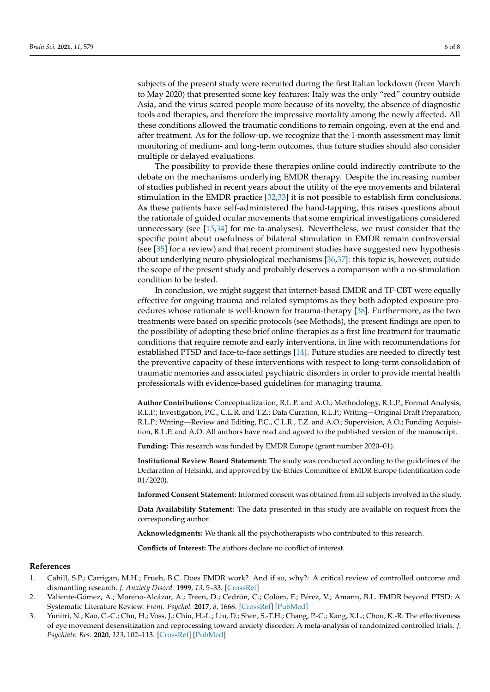subjects of the present study were recruited during the first Italian lockdown (from March to May 2020) that presented some key features: Italy was the only "red" country outside Asia, and the virus scared people more because of its novelty, the absence of diagnostic tools and therapies, and therefore the impressive mortality among the newly affected. All these conditions allowed the traumatic conditions to remain ongoing, even at the end and after treatment. As for the follow-up, we recognize that the 1-month assessment may limit monitoring of medium- and long-term outcomes, thus future studies should also consider multiple or delayed evaluations.

The possibility to provide these therapies online could indirectly contribute to the debate on the mechanisms underlying EMDR therapy. Despite the increasing number of studies published in recent years about the utility of the eye movements and bilateral stimulation in the EMDR practice [\[32,](#page-7-0)[33\]](#page-7-1) it is not possible to establish firm conclusions. As these patients have self-administered the hand-tapping, this raises questions about the rationale of guided ocular movements that some empirical investigations considered unnecessary (see [\[15](#page-6-9)[,34\]](#page-7-2) for me-ta-analyses). Nevertheless, we must consider that the specific point about usefulness of bilateral stimulation in EMDR remain controversial (see [\[35\]](#page-7-3) for a review) and that recent prominent studies have suggested new hypothesis about underlying neuro-physiological mechanisms [\[36](#page-7-4)[,37\]](#page-7-5): this topic is, however, outside the scope of the present study and probably deserves a comparison with a no-stimulation condition to be tested.

In conclusion, we might suggest that internet-based EMDR and TF-CBT were equally effective for ongoing trauma and related symptoms as they both adopted exposure procedures whose rationale is well-known for trauma-therapy [\[38\]](#page-7-6). Furthermore, as the two treatments were based on specific protocols (see Methods), the present findings are open to the possibility of adopting these brief online-therapies as a first line treatment for traumatic conditions that require remote and early interventions, in line with recommendations for established PTSD and face-to-face settings [\[14\]](#page-6-8). Future studies are needed to directly test the preventive capacity of these interventions with respect to long-term consolidation of traumatic memories and associated psychiatric disorders in order to provide mental health professionals with evidence-based guidelines for managing trauma.

**Author Contributions:** Conceptualization, R.L.P. and A.O.; Methodology, R.L.P.; Formal Analysis, R.L.P.; Investigation, P.C., C.L.R. and T.Z.; Data Curation, R.L.P.; Writing—Original Draft Preparation, R.L.P.; Writing—Review and Editing, P.C., C.L.R., T.Z. and A.O.; Supervision, A.O.; Funding Acquisition, R.L.P. and A.O. All authors have read and agreed to the published version of the manuscript.

**Funding:** This research was funded by EMDR Europe (grant number 2020–01).

**Institutional Review Board Statement:** The study was conducted according to the guidelines of the Declaration of Helsinki, and approved by the Ethics Committee of EMDR Europe (identification code 01/2020).

**Informed Consent Statement:** Informed consent was obtained from all subjects involved in the study.

**Data Availability Statement:** The data presented in this study are available on request from the corresponding author.

**Acknowledgments:** We thank all the psychotherapists who contributed to this research.

**Conflicts of Interest:** The authors declare no conflict of interest.

### **References**

- <span id="page-5-0"></span>1. Cahill, S.P.; Carrigan, M.H.; Frueh, B.C. Does EMDR work? And if so, why?: A critical review of controlled outcome and dismantling research. *J. Anxiety Disord.* **1999**, *13*, 5–33. [\[CrossRef\]](http://doi.org/10.1016/S0887-6185(98)00039-5)
- 2. Valiente-Gómez, A.; Moreno-Alcázar, A.; Treen, D.; Cedrón, C.; Colom, F.; Pérez, V.; Amann, B.L. EMDR beyond PTSD: A Systematic Literature Review. *Front. Psychol.* **2017**, *8*, 1668. [\[CrossRef\]](http://doi.org/10.3389/fpsyg.2017.01668) [\[PubMed\]](http://www.ncbi.nlm.nih.gov/pubmed/29018388)
- <span id="page-5-1"></span>3. Yunitri, N.; Kao, C.-C.; Chu, H.; Voss, J.; Chiu, H.-L.; Liu, D.; Shen, S.-T.H.; Chang, P.-C.; Kang, X.L.; Chou, K.-R. The effectiveness of eye movement desensitization and reprocessing toward anxiety disorder: A meta-analysis of randomized controlled trials. *J. Psychiatr. Res.* **2020**, *123*, 102–113. [\[CrossRef\]](http://doi.org/10.1016/j.jpsychires.2020.01.005) [\[PubMed\]](http://www.ncbi.nlm.nih.gov/pubmed/32058073)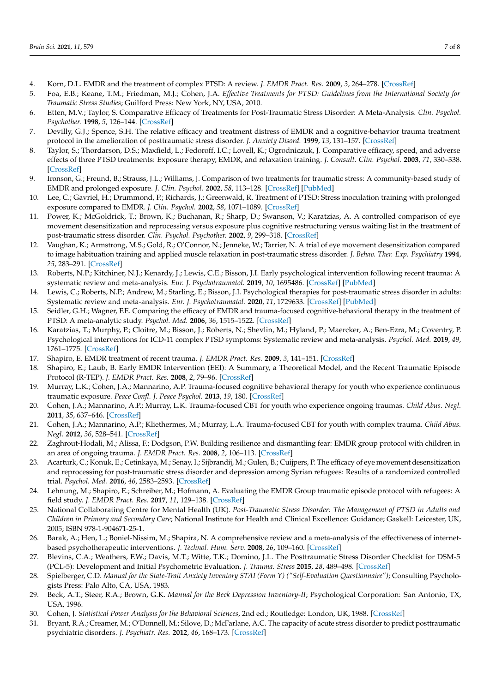- <span id="page-6-0"></span>4. Korn, D.L. EMDR and the treatment of complex PTSD: A review. *J. EMDR Pract. Res.* **2009**, *3*, 264–278. [\[CrossRef\]](http://doi.org/10.1891/1933-3196.3.4.264)
- <span id="page-6-1"></span>5. Foa, E.B.; Keane, T.M.; Friedman, M.J.; Cohen, J.A. *Effective Treatments for PTSD: Guidelines from the International Society for Traumatic Stress Studies*; Guilford Press: New York, NY, USA, 2010.
- <span id="page-6-2"></span>6. Etten, M.V.; Taylor, S. Comparative Efficacy of Treatments for Post-Traumatic Stress Disorder: A Meta-Analysis. *Clin. Psychol. Psychother.* **1998**, *5*, 126–144. [\[CrossRef\]](http://doi.org/10.1002/(SICI)1099-0879(199809)5:3<126::AID-CPP153>3.0.CO;2-H)
- <span id="page-6-3"></span>7. Devilly, G.J.; Spence, S.H. The relative efficacy and treatment distress of EMDR and a cognitive-behavior trauma treatment protocol in the amelioration of posttraumatic stress disorder. *J. Anxiety Disord.* **1999**, *13*, 131–157. [\[CrossRef\]](http://doi.org/10.1016/S0887-6185(98)00044-9)
- <span id="page-6-4"></span>8. Taylor, S.; Thordarson, D.S.; Maxfield, L.; Fedoroff, I.C.; Lovell, K.; Ogrodniczuk, J. Comparative efficacy, speed, and adverse effects of three PTSD treatments: Exposure therapy, EMDR, and relaxation training. *J. Consult. Clin. Psychol.* **2003**, *71*, 330–338. [\[CrossRef\]](http://doi.org/10.1037/0022-006X.71.2.330)
- <span id="page-6-5"></span>9. Ironson, G.; Freund, B.; Strauss, J.L.; Williams, J. Comparison of two treatments for traumatic stress: A community-based study of EMDR and prolonged exposure. *J. Clin. Psychol.* **2002**, *58*, 113–128. [\[CrossRef\]](http://doi.org/10.1002/jclp.1132) [\[PubMed\]](http://www.ncbi.nlm.nih.gov/pubmed/11748600)
- 10. Lee, C.; Gavriel, H.; Drummond, P.; Richards, J.; Greenwald, R. Treatment of PTSD: Stress inoculation training with prolonged exposure compared to EMDR. *J. Clin. Psychol.* **2002**, *58*, 1071–1089. [\[CrossRef\]](http://doi.org/10.1002/jclp.10039)
- 11. Power, K.; McGoldrick, T.; Brown, K.; Buchanan, R.; Sharp, D.; Swanson, V.; Karatzias, A. A controlled comparison of eye movement desensitization and reprocessing versus exposure plus cognitive restructuring versus waiting list in the treatment of post-traumatic stress disorder. *Clin. Psychol. Psychother.* **2002**, *9*, 299–318. [\[CrossRef\]](http://doi.org/10.1002/cpp.341)
- <span id="page-6-6"></span>12. Vaughan, K.; Armstrong, M.S.; Gold, R.; O'Connor, N.; Jenneke, W.; Tarrier, N. A trial of eye movement desensitization compared to image habituation training and applied muscle relaxation in post-traumatic stress disorder. *J. Behav. Ther. Exp. Psychiatry* **1994**, *25*, 283–291. [\[CrossRef\]](http://doi.org/10.1016/0005-7916(94)90036-1)
- <span id="page-6-7"></span>13. Roberts, N.P.; Kitchiner, N.J.; Kenardy, J.; Lewis, C.E.; Bisson, J.I. Early psychological intervention following recent trauma: A systematic review and meta-analysis. *Eur. J. Psychotraumatol.* **2019**, *10*, 1695486. [\[CrossRef\]](http://doi.org/10.1080/20008198.2019.1695486) [\[PubMed\]](http://www.ncbi.nlm.nih.gov/pubmed/31853332)
- <span id="page-6-8"></span>14. Lewis, C.; Roberts, N.P.; Andrew, M.; Starling, E.; Bisson, J.I. Psychological therapies for post-traumatic stress disorder in adults: Systematic review and meta-analysis. *Eur. J. Psychotraumatol.* **2020**, *11*, 1729633. [\[CrossRef\]](http://doi.org/10.1080/20008198.2020.1729633) [\[PubMed\]](http://www.ncbi.nlm.nih.gov/pubmed/32284821)
- <span id="page-6-9"></span>15. Seidler, G.H.; Wagner, F.E. Comparing the efficacy of EMDR and trauma-focused cognitive-behavioral therapy in the treatment of PTSD: A meta-analytic study. *Psychol. Med.* **2006**, *36*, 1515–1522. [\[CrossRef\]](http://doi.org/10.1017/S0033291706007963)
- <span id="page-6-10"></span>16. Karatzias, T.; Murphy, P.; Cloitre, M.; Bisson, J.; Roberts, N.; Shevlin, M.; Hyland, P.; Maercker, A.; Ben-Ezra, M.; Coventry, P. Psychological interventions for ICD-11 complex PTSD symptoms: Systematic review and meta-analysis. *Psychol. Med.* **2019**, *49*, 1761–1775. [\[CrossRef\]](http://doi.org/10.1017/S0033291719000436)
- <span id="page-6-11"></span>17. Shapiro, E. EMDR treatment of recent trauma. *J. EMDR Pract. Res.* **2009**, *3*, 141–151. [\[CrossRef\]](http://doi.org/10.1891/1933-3196.3.3.141)
- <span id="page-6-12"></span>18. Shapiro, E.; Laub, B. Early EMDR Intervention (EEI): A Summary, a Theoretical Model, and the Recent Traumatic Episode Protocol (R-TEP). *J. EMDR Pract. Res.* **2008**, *2*, 79–96. [\[CrossRef\]](http://doi.org/10.1891/1933-3196.2.2.79)
- <span id="page-6-13"></span>19. Murray, L.K.; Cohen, J.A.; Mannarino, A.P. Trauma-focused cognitive behavioral therapy for youth who experience continuous traumatic exposure. *Peace Confl. J. Peace Psychol.* **2013**, *19*, 180. [\[CrossRef\]](http://doi.org/10.1037/a0032533)
- 20. Cohen, J.A.; Mannarino, A.P.; Murray, L.K. Trauma-focused CBT for youth who experience ongoing traumas. *Child Abus. Negl.* **2011**, *35*, 637–646. [\[CrossRef\]](http://doi.org/10.1016/j.chiabu.2011.05.002)
- 21. Cohen, J.A.; Mannarino, A.P.; Kliethermes, M.; Murray, L.A. Trauma-focused CBT for youth with complex trauma. *Child Abus. Negl.* **2012**, *36*, 528–541. [\[CrossRef\]](http://doi.org/10.1016/j.chiabu.2012.03.007)
- <span id="page-6-14"></span>22. Zaghrout-Hodali, M.; Alissa, F.; Dodgson, P.W. Building resilience and dismantling fear: EMDR group protocol with children in an area of ongoing trauma. *J. EMDR Pract. Res.* **2008**, *2*, 106–113. [\[CrossRef\]](http://doi.org/10.1891/1933-3196.2.2.106)
- <span id="page-6-15"></span>23. Acarturk, C.; Konuk, E.; Cetinkaya, M.; Senay, I.; Sijbrandij, M.; Gulen, B.; Cuijpers, P. The efficacy of eye movement desensitization and reprocessing for post-traumatic stress disorder and depression among Syrian refugees: Results of a randomized controlled trial. *Psychol. Med.* **2016**, *46*, 2583–2593. [\[CrossRef\]](http://doi.org/10.1017/S0033291716001070)
- <span id="page-6-16"></span>24. Lehnung, M.; Shapiro, E.; Schreiber, M.; Hofmann, A. Evaluating the EMDR Group traumatic episode protocol with refugees: A field study. *J. EMDR Pract. Res.* **2017**, *11*, 129–138. [\[CrossRef\]](http://doi.org/10.1891/1933-3196.11.3.129)
- <span id="page-6-17"></span>25. National Collaborating Centre for Mental Health (UK). *Post-Traumatic Stress Disorder: The Management of PTSD in Adults and Children in Primary and Secondary Care*; National Institute for Health and Clinical Excellence: Guidance; Gaskell: Leicester, UK, 2005; ISBN 978-1-904671-25-1.
- <span id="page-6-18"></span>26. Barak, A.; Hen, L.; Boniel-Nissim, M.; Shapira, N. A comprehensive review and a meta-analysis of the effectiveness of internetbased psychotherapeutic interventions. *J. Technol. Hum. Serv.* **2008**, *26*, 109–160. [\[CrossRef\]](http://doi.org/10.1080/15228830802094429)
- <span id="page-6-19"></span>27. Blevins, C.A.; Weathers, F.W.; Davis, M.T.; Witte, T.K.; Domino, J.L. The Posttraumatic Stress Disorder Checklist for DSM-5 (PCL-5): Development and Initial Psychometric Evaluation. *J. Trauma. Stress* **2015**, *28*, 489–498. [\[CrossRef\]](http://doi.org/10.1002/jts.22059)
- <span id="page-6-20"></span>28. Spielberger, C.D. *Manual for the State-Trait Anxiety Inventory STAI (Form Y) ("Self-Evaluation Questionnaire")*; Consulting Psychologists Press: Palo Alto, CA, USA, 1983.
- <span id="page-6-21"></span>29. Beck, A.T.; Steer, R.A.; Brown, G.K. *Manual for the Beck Depression Inventory-II*; Psychological Corporation: San Antonio, TX, USA, 1996.
- <span id="page-6-22"></span>30. Cohen, J. *Statistical Power Analysis for the Behavioral Sciences*, 2nd ed.; Routledge: London, UK, 1988. [\[CrossRef\]](http://doi.org/10.4324/9780203771587)
- <span id="page-6-23"></span>31. Bryant, R.A.; Creamer, M.; O'Donnell, M.; Silove, D.; McFarlane, A.C. The capacity of acute stress disorder to predict posttraumatic psychiatric disorders. *J. Psychiatr. Res.* **2012**, *46*, 168–173. [\[CrossRef\]](http://doi.org/10.1016/j.jpsychires.2011.10.007)